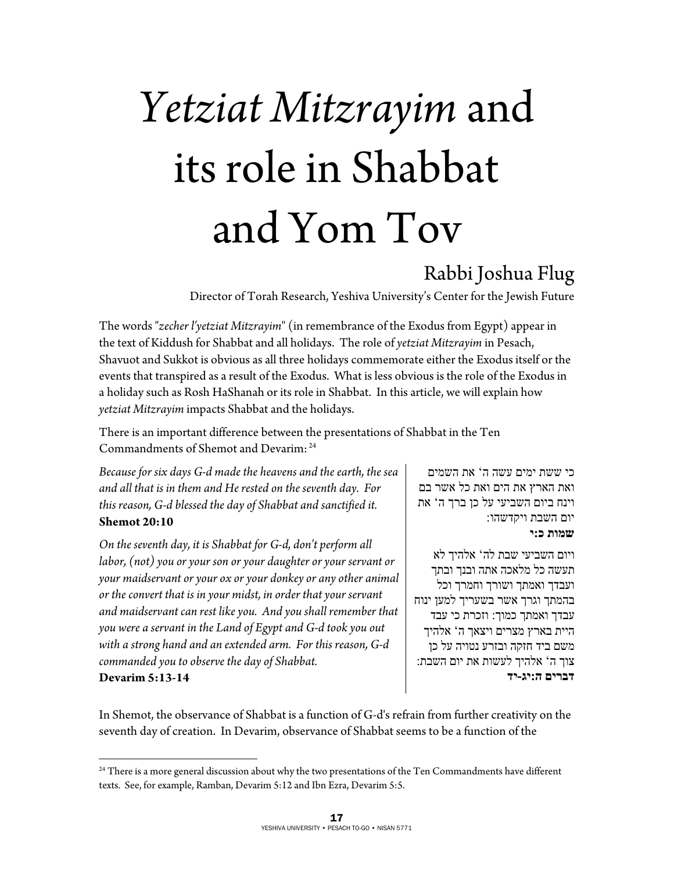# *Yetziat Mitzrayim* and its role in Shabbat and Yom Tov

# Rabbi Joshua Flug

Director of Torah Research, Yeshiva University's Center for the Jewish Future

The words "*zecher l'yetziat Mitzrayim*" (in remembrance of the Exodus from Egypt) appear in the text of Kiddush for Shabbat and all holidays. The role of *yetziat Mitzrayim* in Pesach, Shavuot and Sukkot is obvious as all three holidays commemorate either the Exodus itself or the events that transpired as a result of the Exodus. What is less obvious is the role of the Exodus in a holiday such as Rosh HaShanah or its role in Shabbat. In this article, we will explain how *yetziat Mitzrayim* impacts Shabbat and the holidays.

There is an important difference between the presentations of Shabbat in the Ten Commandments of Shemot and Devarim: 24

*Because for six days G-d made the heavens and the earth, the sea and all that is in them and He rested on the seventh day. For this reason, G-d blessed the day of Shabbat and sanctified it.*  **Shemot 20:10** 

*On the seventh day, it is Shabbat for G-d, don't perform all labor, (not) you or your son or your daughter or your servant or your maidservant or your ox or your donkey or any other animal or the convert that is in your midst, in order that your servant and maidservant can rest like you. And you shall remember that you were a servant in the Land of Egypt and G-d took you out with a strong hand and an extended arm. For this reason, G-d commanded you to observe the day of Shabbat.* 

**Devarim 5:13-14** 

 $\overline{a}$ 

כי ששת ימים עשה ה ' את השמים ואת הארץ את הים ואת כל אשר בם וינח ביום השביעי על כן ברך ה ' את יום השבת ויקדשהו:

**שמות כ:י** 

ויום השביעי שבת לה' אלהיך לא תעשה כל מלאכה אתה ובנך ובתך ועבדך ואמתך ושורך וחמרך וכל בהמתך וגרך אשר בשעריך למען ינוח עבדך ואמתך כמוך: וזכרת כי עבד היית בארץ מצרים ויצאך ה' אלהיך משם ביד חזקה ובזרע נטויה על כן צוך ה' אלהיך לעשות את יום השבת: **דברים ה:יג-יד** 

In Shemot, the observance of Shabbat is a function of G-d's refrain from further creativity on the seventh day of creation. In Devarim, observance of Shabbat seems to be a function of the

 $24$  There is a more general discussion about why the two presentations of the Ten Commandments have different texts. See, for example, Ramban, Devarim 5:12 and Ibn Ezra, Devarim 5:5.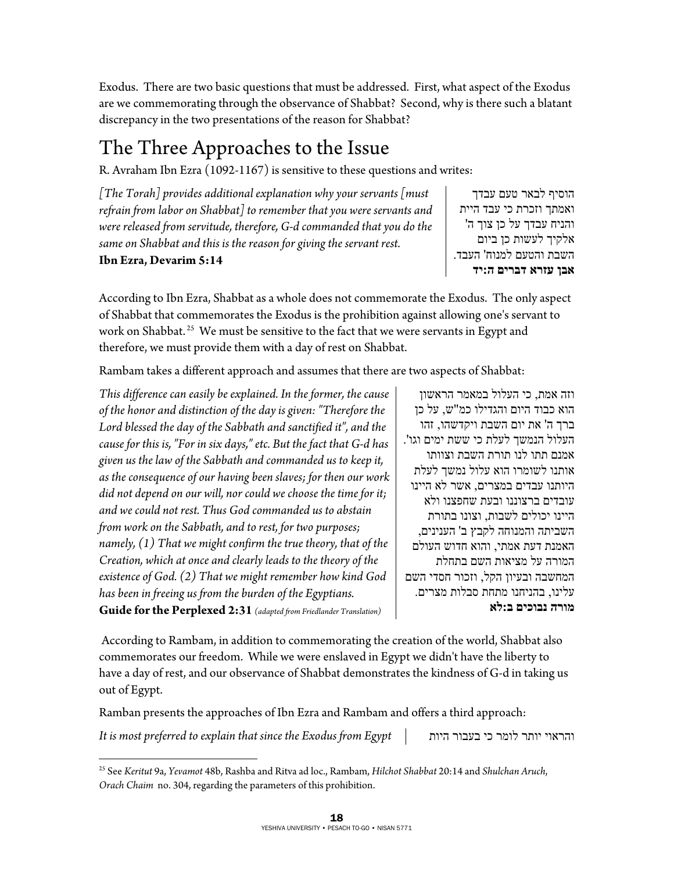Exodus. There are two basic questions that must be addressed. First, what aspect of the Exodus are we commemorating through the observance of Shabbat? Second, why is there such a blatant discrepancy in the two presentations of the reason for Shabbat?

## The Three Approaches to the Issue

R. Avraham Ibn Ezra (1092-1167) is sensitive to these questions and writes:

*[The Torah] provides additional explanation why your servants [must refrain from labor on Shabbat] to remember that you were servants and were released from servitude, therefore, G-d commanded that you do the same on Shabbat and this is the reason for giving the servant rest.* 

**Ibn Ezra, Devarim 5:14** 

הוסיף לבאר טעם עבדך ואמתך וזכרת כי עבד היית והניח עבדך על כן צוך ה' אלקיך לעשות כן ביום השבת והטעם למנוח' העבד. **אבן עזרא דברים ה:יד** 

According to Ibn Ezra, Shabbat as a whole does not commemorate the Exodus. The only aspect of Shabbat that commemorates the Exodus is the prohibition against allowing one's servant to work on Shabbat.<sup>25</sup> We must be sensitive to the fact that we were servants in Egypt and therefore, we must provide them with a day of rest on Shabbat.

Rambam takes a different approach and assumes that there are two aspects of Shabbat:

*This difference can easily be explained. In the former, the cause of the honor and distinction of the day is given: "Therefore the Lord blessed the day of the Sabbath and sanctified it", and the cause for this is, "For in six days," etc. But the fact that G-d has given us the law of the Sabbath and commanded us to keep it, as the consequence of our having been slaves; for then our work did not depend on our will, nor could we choose the time for it; and we could not rest. Thus God commanded us to abstain from work on the Sabbath, and to rest, for two purposes; namely, (1) That we might confirm the true theory, that of the Creation, which at once and clearly leads to the theory of the existence of God. (2) That we might remember how kind God has been in freeing us from the burden of the Egyptians.* 

וזה אמת, כי העלול במאמר הראשון הוא כבוד היום והגדילו כמ"ש , על כן ברך ה' את יום השבת ויקדשהו , זהו העלול הנמשך לעלת כי ששת ימים וגו'. אמנם תתו לנו תורת השבת וצוותו אותנו לשומרו הוא עלול נמשך לעלת היותנו עבדים במצרים, אשר לא היינו עובדים ברצוננו ובעת שחפצנו ולא היינו יכולים לשבות , וצונו בתורת השביתה והמנוחה לקבץ ב' הענינים, האמנת דעת אמתי, והוא חדוש העולם המורה על מציאות השם בתחלת המחשבה ובעיון הקל, וזכור חסדי השם עלינו, בהניחנו מתחת סבלות מצרים. **מורה נבוכים ב:לא**

**Guide for the Perplexed 2:31** *(adapted from Friedlander Translation)*

 According to Rambam, in addition to commemorating the creation of the world, Shabbat also commemorates our freedom. While we were enslaved in Egypt we didn't have the liberty to have a day of rest, and our observance of Shabbat demonstrates the kindness of G-d in taking us out of Egypt.

Ramban presents the approaches of Ibn Ezra and Rambam and offers a third approach:

*It is most preferred to explain that since the Exodus from Egypt* היות בעבור כי לומר יותר והראוי

 $\overline{a}$ 

<sup>25</sup> See *Keritut* 9a, *Yevamot* 48b, Rashba and Ritva ad loc., Rambam, *Hilchot Shabbat* 20:14 and *Shulchan Aruch*, *Orach Chaim* no. 304, regarding the parameters of this prohibition.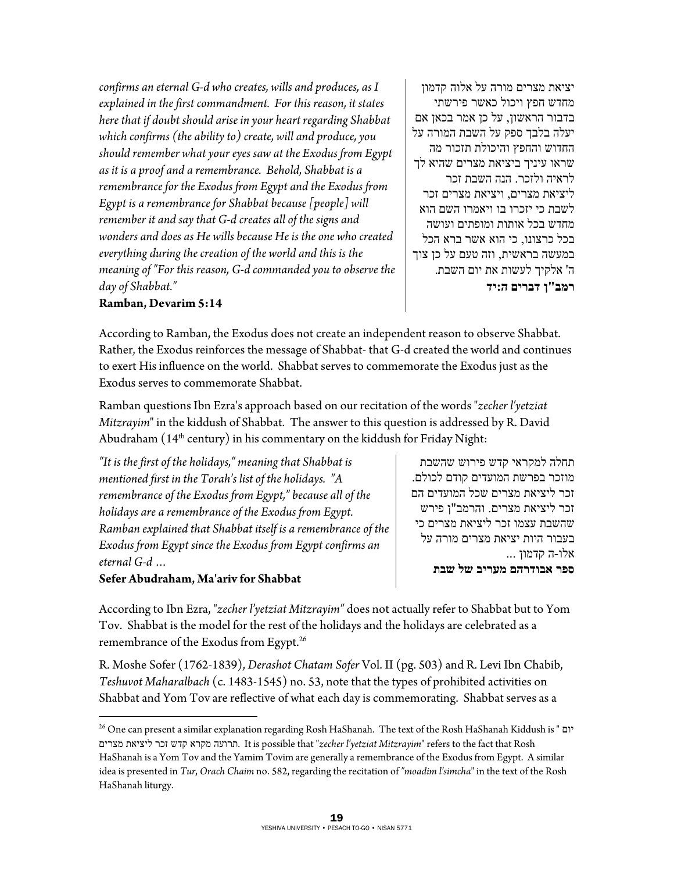*confirms an eternal G-d who creates, wills and produces, as I explained in the first commandment. For this reason, it states here that if doubt should arise in your heart regarding Shabbat which confirms (the ability to) create, will and produce, you should remember what your eyes saw at the Exodus from Egypt as it is a proof and a remembrance. Behold, Shabbat is a remembrance for the Exodus from Egypt and the Exodus from Egypt is a remembrance for Shabbat because [people] will remember it and say that G-d creates all of the signs and wonders and does as He wills because He is the one who created everything during the creation of the world and this is the meaning of "For this reason, G-d commanded you to observe the day of Shabbat."* 

יציאת מצרים מורה על אלוה קדמון מחדש חפץ ויכול כאשר פירשתי בדבור הראשון, על כן אמר בכאן אם יעלה בלבך ספק על השבת המורה על החדוש והחפץ והיכולת תזכור מה שראו עיניך ביציאת מצרים שהיא לך לראיה ולזכר. הנה השבת זכר ליציאת מצרים, ויציאת מצרים זכר לשבת כי יזכרו בו ויאמרו השם הוא מחדש בכל אותות ומופתים ועושה בכל כרצונו, כי הוא אשר ברא הכל במעשה בראשית, וזה טעם על כן צוך ה' אלקיך לעשות את יום השבת . **רמב"ן דברים ה:יד**

#### **Ramban, Devarim 5:14**

According to Ramban, the Exodus does not create an independent reason to observe Shabbat. Rather, the Exodus reinforces the message of Shabbat- that G-d created the world and continues to exert His influence on the world. Shabbat serves to commemorate the Exodus just as the Exodus serves to commemorate Shabbat.

Ramban questions Ibn Ezra's approach based on our recitation of the words "*zecher l'yetziat Mitzrayim*" in the kiddush of Shabbat. The answer to this question is addressed by R. David Abudraham (14<sup>th</sup> century) in his commentary on the kiddush for Friday Night:

*"It is the first of the holidays," meaning that Shabbat is mentioned first in the Torah's list of the holidays. "A remembrance of the Exodus from Egypt," because all of the holidays are a remembrance of the Exodus from Egypt. Ramban explained that Shabbat itself is a remembrance of the Exodus from Egypt since the Exodus from Egypt confirms an eternal G-d …* 

**Sefer Abudraham, Ma'ariv for Shabbat** 

 $\overline{a}$ 

תחלה למקראי קדש פירוש שהשבת מוזכר בפרשת המועדים קודם לכולם. זכר ליציאת מצרים שכל המועדים הם זכר ליציאת מצרים. והרמב "ן פירש שהשבת עצמו זכר ליציאת מצרים כי בעבור היות יציאת מצרים מורה על אלו -ה קדמון ... **ספר אבודרהם מעריב של שבת**

According to Ibn Ezra, "*zecher l'yetziat Mitzrayim"* does not actually refer to Shabbat but to Yom Tov. Shabbat is the model for the rest of the holidays and the holidays are celebrated as a remembrance of the Exodus from Egypt.26

R. Moshe Sofer (1762-1839), *Derashot Chatam Sofer* Vol. II (pg. 503) and R. Levi Ibn Chabib, *Teshuvot Maharalbach* (c. 1483-1545) no. 53, note that the types of prohibited activities on Shabbat and Yom Tov are reflective of what each day is commemorating. Shabbat serves as a

<sup>26</sup> One can present a similar explanation regarding Rosh HaShanah. The text of the Rosh HaShanah Kiddush is " יום מצרים ליציאת זכר קדש מקרא תרועה. It is possible that "*zecher l'yetziat Mitzrayim*" refers to the fact that Rosh HaShanah is a Yom Tov and the Yamim Tovim are generally a remembrance of the Exodus from Egypt. A similar idea is presented in *Tur*, *Orach Chaim* no. 582, regarding the recitation of *"moadim l'simcha*" in the text of the Rosh HaShanah liturgy.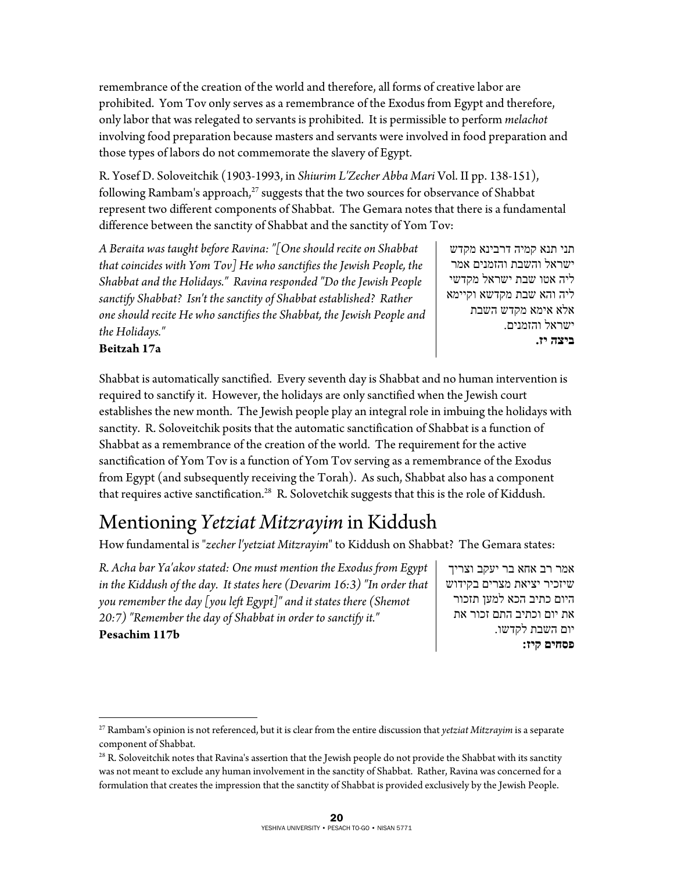remembrance of the creation of the world and therefore, all forms of creative labor are prohibited. Yom Tov only serves as a remembrance of the Exodus from Egypt and therefore, only labor that was relegated to servants is prohibited. It is permissible to perform *melachot* involving food preparation because masters and servants were involved in food preparation and those types of labors do not commemorate the slavery of Egypt.

R. Yosef D. Soloveitchik (1903-1993, in *Shiurim L'Zecher Abba Mari* Vol. II pp. 138-151), following Rambam's approach, $27$  suggests that the two sources for observance of Shabbat represent two different components of Shabbat. The Gemara notes that there is a fundamental difference between the sanctity of Shabbat and the sanctity of Yom Tov:

*A Beraita was taught before Ravina: "[One should recite on Shabbat that coincides with Yom Tov] He who sanctifies the Jewish People, the Shabbat and the Holidays." Ravina responded "Do the Jewish People sanctify Shabbat? Isn't the sanctity of Shabbat established? Rather one should recite He who sanctifies the Shabbat, the Jewish People and the Holidays."* 

תני תנא קמיה דרבינא מקדש ישראל והשבת והזמנים אמר ליה אטו שבת ישראל מקדשי ליה והא שבת מקדשא וקיימא אלא אימא מקדש השבת ישראל והזמנים. **ביצה יז .**

#### **Beitzah 17a**

 $\overline{a}$ 

Shabbat is automatically sanctified. Every seventh day is Shabbat and no human intervention is required to sanctify it. However, the holidays are only sanctified when the Jewish court establishes the new month. The Jewish people play an integral role in imbuing the holidays with sanctity. R. Soloveitchik posits that the automatic sanctification of Shabbat is a function of Shabbat as a remembrance of the creation of the world. The requirement for the active sanctification of Yom Tov is a function of Yom Tov serving as a remembrance of the Exodus from Egypt (and subsequently receiving the Torah). As such, Shabbat also has a component that requires active sanctification.<sup>28</sup> R. Solovetchik suggests that this is the role of Kiddush.

### Mentioning *Yetziat Mitzrayim* in Kiddush

How fundamental is "*zecher l'yetziat Mitzrayim*" to Kiddush on Shabbat? The Gemara states:

*R. Acha bar Ya'akov stated: One must mention the Exodus from Egypt in the Kiddush of the day. It states here (Devarim 16:3) "In order that you remember the day [you left Egypt]" and it states there (Shemot 20:7) "Remember the day of Shabbat in order to sanctify it."*  **Pesachim 117b** 

אמר רב אחא בר יעקב וצריך שיזכיר יציאת מצרים בקידוש היום כתיב הכא למען תזכור את יום וכתיב התם זכור את יום השבת לקדשו. **פסחים קיז :**

<sup>27</sup> Rambam's opinion is not referenced, but it is clear from the entire discussion that *yetziat Mitzrayim* is a separate component of Shabbat.

<sup>&</sup>lt;sup>28</sup> R. Soloveitchik notes that Ravina's assertion that the Jewish people do not provide the Shabbat with its sanctity was not meant to exclude any human involvement in the sanctity of Shabbat. Rather, Ravina was concerned for a formulation that creates the impression that the sanctity of Shabbat is provided exclusively by the Jewish People.